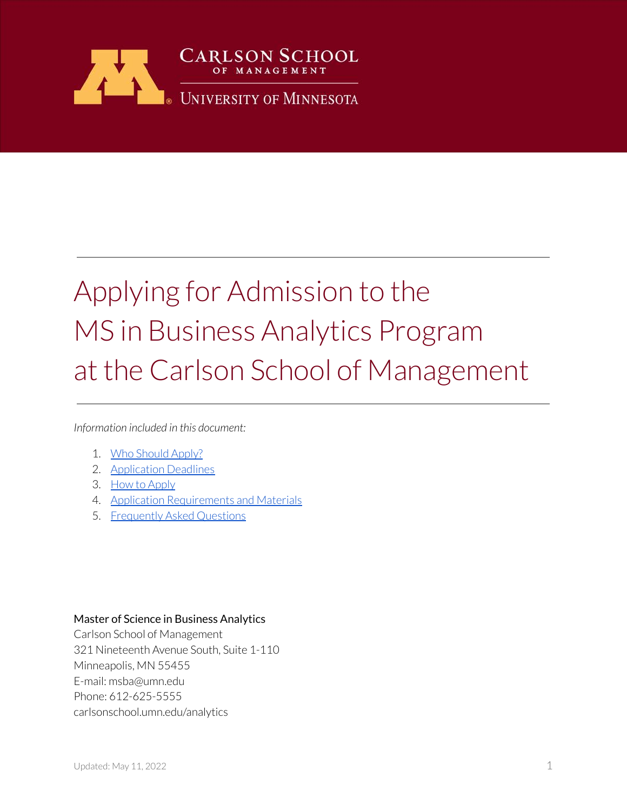

# Applying for Admission to the MS in Business Analytics Program at the Carlson School of Management

*Information included in this document:*

- 1. [Who Should Apply?](#page-1-0)
- 2. [Application Deadlines](#page-2-0)
- 3. [How to Apply](#page-3-0)
- 4. [Application Requirements and Materials](#page-8-0)
- 5. [Frequently Asked Questions](#page-19-0)

#### Master of Science in Business Analytics

Carlson School of Management 321 Nineteenth Avenue South, Suite 1-110 Minneapolis, MN 55455 E-mail: msba@umn.edu Phone: 612-625-5555 carlsonschool.umn.edu/analytics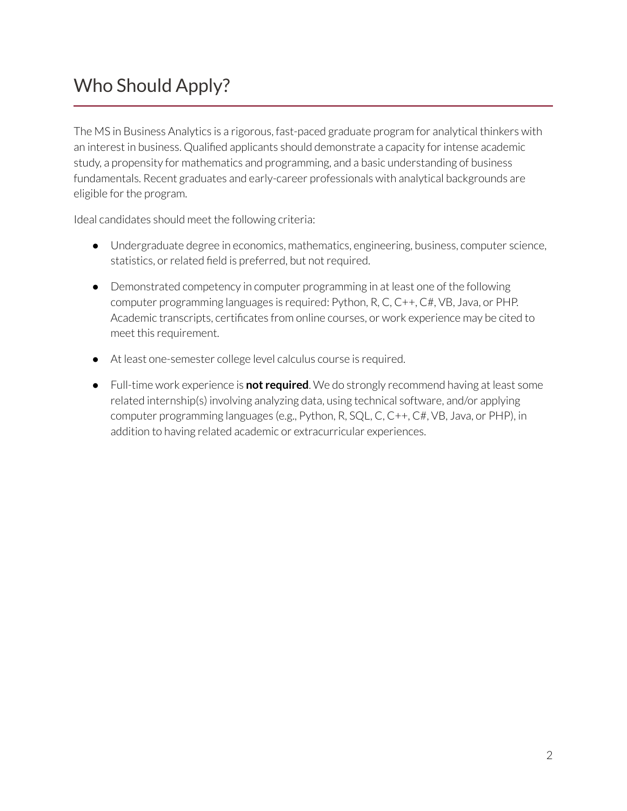# <span id="page-1-0"></span>Who Should Apply?

The MS in Business Analytics is a rigorous, fast-paced graduate program for analytical thinkers with an interest in business. Qualified applicants should demonstrate a capacity for intense academic study, a propensity for mathematics and programming, and a basic understanding of business fundamentals. Recent graduates and early-career professionals with analytical backgrounds are eligible for the program.

Ideal candidates should meet the following criteria:

- Undergraduate degree in economics, mathematics, engineering, business, computer science, statistics, or related field is preferred, but not required.
- Demonstrated competency in computer programming in at least one of the following computer programming languages is required: Python, R, C, C++, C#, VB, Java, or PHP. Academic transcripts, certificates from online courses, or work experience may be cited to meet this requirement.
- At least one-semester college level calculus course is required.
- Full-time work experience is **not required**. We do strongly recommend having at least some related internship(s) involving analyzing data, using technical software, and/or applying computer programming languages (e.g., Python, R, SQL, C, C++, C#, VB, Java, or PHP), in addition to having related academic or extracurricular experiences.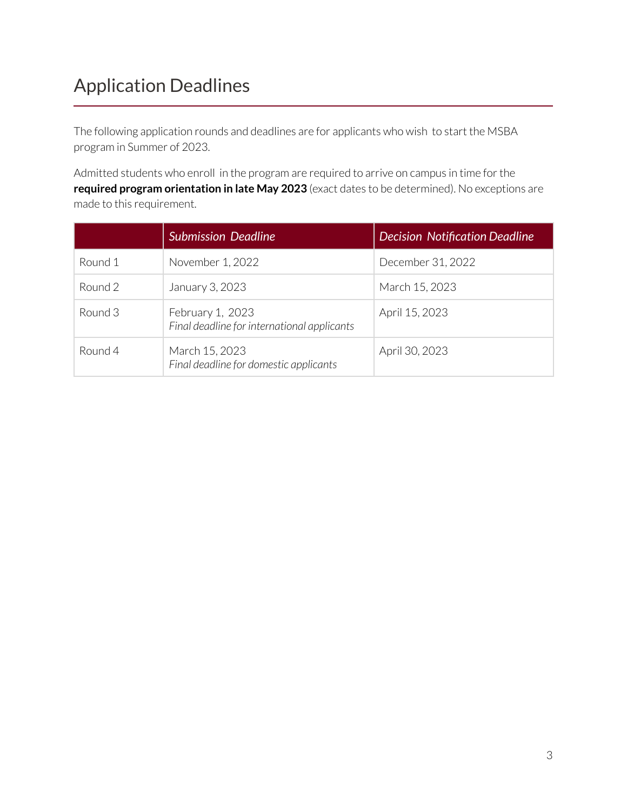# <span id="page-2-0"></span>Application Deadlines

The following application rounds and deadlines are for applicants who wish to start the MSBA program in Summer of 2023.

Admitted students who enroll in the program are required to arrive on campus in time for the **required program orientation in late May 2023** (exact dates to be determined). No exceptions are made to this requirement.

|         | <b>Submission Deadline</b>                                      | <b>Decision Notification Deadline</b> |
|---------|-----------------------------------------------------------------|---------------------------------------|
| Round 1 | November 1, 2022                                                | December 31, 2022                     |
| Round 2 | January 3, 2023                                                 | March 15, 2023                        |
| Round 3 | February 1, 2023<br>Final deadline for international applicants | April 15, 2023                        |
| Round 4 | March 15, 2023<br>Final deadline for domestic applicants        | April 30, 2023                        |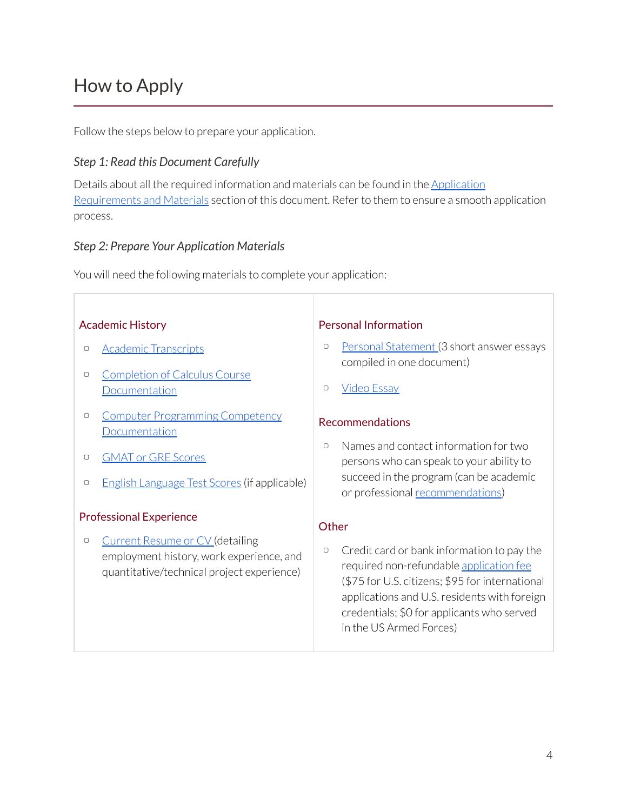# <span id="page-3-0"></span>How to Apply

Г

Follow the steps below to prepare your application.

### *Step 1: Read this Document Carefully*

Details about all the required information and materials can be found in the [Application](#page-8-0) [Requirements and Materials](#page-8-0) section of this document. Refer to them to ensure a smooth application process.

#### *Step 2: Prepare Your Application Materials*

You will need the following materials to complete your application:

| <b>Academic History</b>        |                                                                                                                                  | <b>Personal Information</b> |                                                                                                                                                                                                                                                                   |
|--------------------------------|----------------------------------------------------------------------------------------------------------------------------------|-----------------------------|-------------------------------------------------------------------------------------------------------------------------------------------------------------------------------------------------------------------------------------------------------------------|
| $\Box$                         | <b>Academic Transcripts</b>                                                                                                      | $\Box$                      | Personal Statement (3 short answer essays<br>compiled in one document)                                                                                                                                                                                            |
| $\Box$                         | <b>Completion of Calculus Course</b><br>Documentation                                                                            | $\Box$                      | <b>Video Essay</b>                                                                                                                                                                                                                                                |
| $\hfill \Box$                  | <b>Computer Programming Competency</b><br>Documentation                                                                          |                             | Recommendations                                                                                                                                                                                                                                                   |
| $\Box$                         | <b>GMAT or GRE Scores</b>                                                                                                        | $\Box$                      | Names and contact information for two<br>persons who can speak to your ability to                                                                                                                                                                                 |
| $\Box$                         | <b>English Language Test Scores (if applicable)</b>                                                                              |                             | succeed in the program (can be academic<br>or professional recommendations)                                                                                                                                                                                       |
| <b>Professional Experience</b> |                                                                                                                                  | Other                       |                                                                                                                                                                                                                                                                   |
| $\Box$                         | <b>Current Resume or CV (detailing</b><br>employment history, work experience, and<br>quantitative/technical project experience) | $\Box$                      | Credit card or bank information to pay the<br>required non-refundable application fee<br>(\$75 for U.S. citizens; \$95 for international<br>applications and U.S. residents with foreign<br>credentials; \$0 for applicants who served<br>in the US Armed Forces) |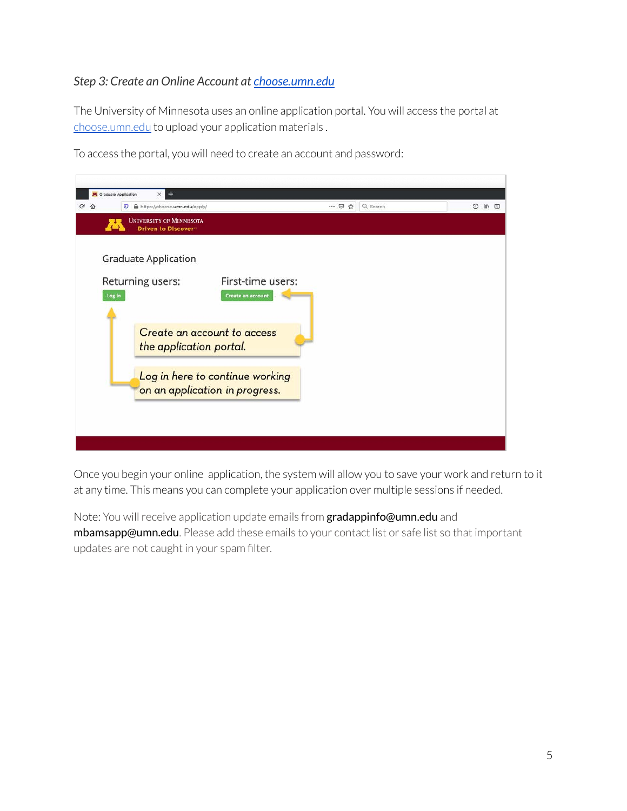### *Step 3: Create an Online Account at [choose.umn.edu](https://choose.umn.edu/apply/)*

The University of Minnesota uses an online application portal. You will access the portal at [choose.umn.edu](https://choose.umn.edu/apply/) to upload your application materials .



To access the portal, you will need to create an account and password:

Once you begin your online application, the system will allow you to save your work and return to it at any time. This means you can complete your application over multiple sessions if needed.

Note: You will receive application update emails from **gradappinfo@umn.edu** and mbamsapp@umn.edu. Please add these emails to your contact list or safe list so that important updates are not caught in your spam filter.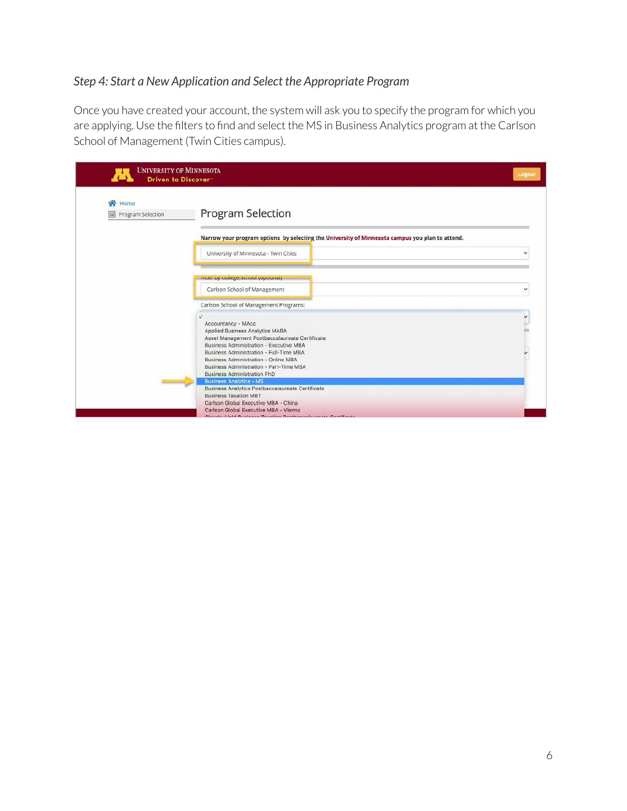### *Step 4: Start a New Application and Select the Appropriate Program*

Once you have created your account, the system will ask you to specify the program for which you are applying. Use the filters to find and select the MS in Business Analytics program at the Carlson School of Management (Twin Cities campus).

| Home<br>◚         |                                                                                                 |  |  |
|-------------------|-------------------------------------------------------------------------------------------------|--|--|
| Program Selection | Program Selection                                                                               |  |  |
|                   | Narrow your program options by selecting the University of Minnesota campus you plan to attend. |  |  |
|                   | University of Minnesota - Twin Cities                                                           |  |  |
|                   | πιται ως ευπαχαιοειτυνι (υμεινιται).                                                            |  |  |
|                   | Carlson School of Management                                                                    |  |  |
|                   | Carlson School of Management Programs:                                                          |  |  |
|                   |                                                                                                 |  |  |
|                   | Accountancy - MAcc                                                                              |  |  |
|                   | Applied Business Analytics MABA                                                                 |  |  |
|                   | Asset Management Postbaccalaureate Certificate                                                  |  |  |
|                   | <b>Business Administration - Executive MBA</b>                                                  |  |  |
|                   | Business Administration - Full-Time MBA<br>Business Administration - Online MBA                 |  |  |
|                   | Business Administration - Part-Time MBA                                                         |  |  |
|                   | <b>Business Administration PhD</b>                                                              |  |  |
|                   | <b>Business Analytics - MS</b>                                                                  |  |  |
|                   | <b>Business Analytics Postbaccalaureate Certificate</b>                                         |  |  |
|                   | <b>Business Taxation MBT</b>                                                                    |  |  |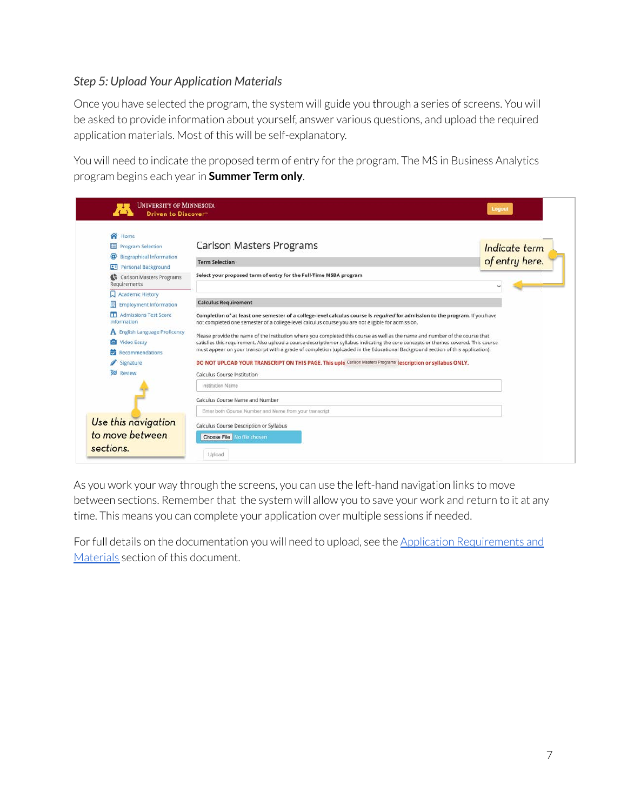### *Step 5: Upload Your Application Materials*

Once you have selected the program, the system will guide you through a series of screens. You will be asked to provide information about yourself, answer various questions, and upload the required application materials. Most of this will be self-explanatory.

You will need to indicate the proposed term of entry for the program. The MS in Business Analytics program begins each year in **Summer Term only**.

| Completion of at least one semester of a college-level calculus course is required for admission to the program. If you have                                                                                                                                                                                                                                                                            |
|---------------------------------------------------------------------------------------------------------------------------------------------------------------------------------------------------------------------------------------------------------------------------------------------------------------------------------------------------------------------------------------------------------|
| Please provide the name of the institution where you completed this course as well as the name and number of the course that<br>satisfies this requirement. Also upload a course description or syllabus indicating the core concepts or themes covered. This course<br>must appear on your transcript with a grade of completion (uploaded in the Educational Background section of this application). |
|                                                                                                                                                                                                                                                                                                                                                                                                         |
|                                                                                                                                                                                                                                                                                                                                                                                                         |
|                                                                                                                                                                                                                                                                                                                                                                                                         |
|                                                                                                                                                                                                                                                                                                                                                                                                         |
|                                                                                                                                                                                                                                                                                                                                                                                                         |
|                                                                                                                                                                                                                                                                                                                                                                                                         |

As you work your way through the screens, you can use the left-hand navigation links to move between sections. Remember that the system will allow you to save your work and return to it at any time. This means you can complete your application over multiple sessions if needed.

For full details on the documentation you will need to upload, see the [Application Requirements and](#page-8-0) [Materials](#page-8-0) section of this document.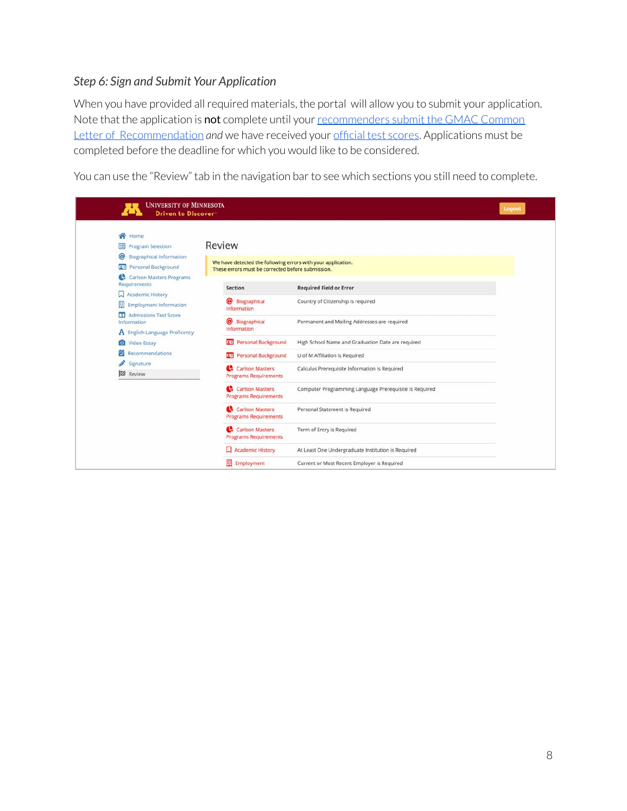#### *Step 6: Sign and Submit Your Application*

When you have provided all required materials, the portal will allow you to submit your application. Note that the application is not complete until your [recommenders submit the GMAC Common](#page-16-1) [Letter of Recommendation](#page-16-1) *and* we have received your [official test scores](#page-10-0). Applications must be completed before the deadline for which you would like to be considered.

You can use the "Review" tab in the navigation bar to see which sections you still need to complete.

| <b>UNIVERSITY OF MINNESOTA</b><br>Driven to Discover                                                                                     |                                                                                                                             |                                                        | <b>Logout</b> |
|------------------------------------------------------------------------------------------------------------------------------------------|-----------------------------------------------------------------------------------------------------------------------------|--------------------------------------------------------|---------------|
| Home<br>◚<br><b>Program Selection</b><br><sup>@</sup> Biographical Information<br>Personal Background<br>PU.<br>Carlson Masters Programs | Review<br>We have detected the following errors with your application.<br>These errors must be corrected before submission. |                                                        |               |
| <b>Requirements</b>                                                                                                                      | <b>Section</b>                                                                                                              | <b>Required Field or Error</b>                         |               |
| Academic History<br>圓<br><b>Employment Information</b>                                                                                   | Biographical<br>Information                                                                                                 | Country of Citizenship is required                     |               |
| <b>Admissions Test Score</b><br>ш<br>Information                                                                                         | @ Biographical<br>Information                                                                                               | Permanent and Mailing Addresses are required           |               |
| A English Language Proficency<br>Video Essay                                                                                             | <b>RE</b> Personal Background                                                                                               | High School Name and Graduation Date are required      |               |
| Recommendations<br>ㅎ                                                                                                                     | <b>Personal Background</b>                                                                                                  | U of M Affiliation is Required                         |               |
| Signature<br><b>23</b> Review                                                                                                            | Carlson Masters<br><b>Programs Requirements</b>                                                                             | Calculus Prerequisite Information Is Required          |               |
|                                                                                                                                          | Carlson Masters<br><b>Programs Requirements</b>                                                                             | Computer Programming Language Prerequisite Is Required |               |
|                                                                                                                                          | Carlson Masters<br><b>Programs Requirements</b>                                                                             | Personal Statement is Required                         |               |
|                                                                                                                                          | Carlson Masters<br><b>Programs Requirements</b>                                                                             | Term of Entry is Required                              |               |
|                                                                                                                                          | Academic History                                                                                                            | At Least One Undergraduate Institution is Required     |               |
|                                                                                                                                          | <b>Employment</b>                                                                                                           | Current or Most Recent Employer is Required            |               |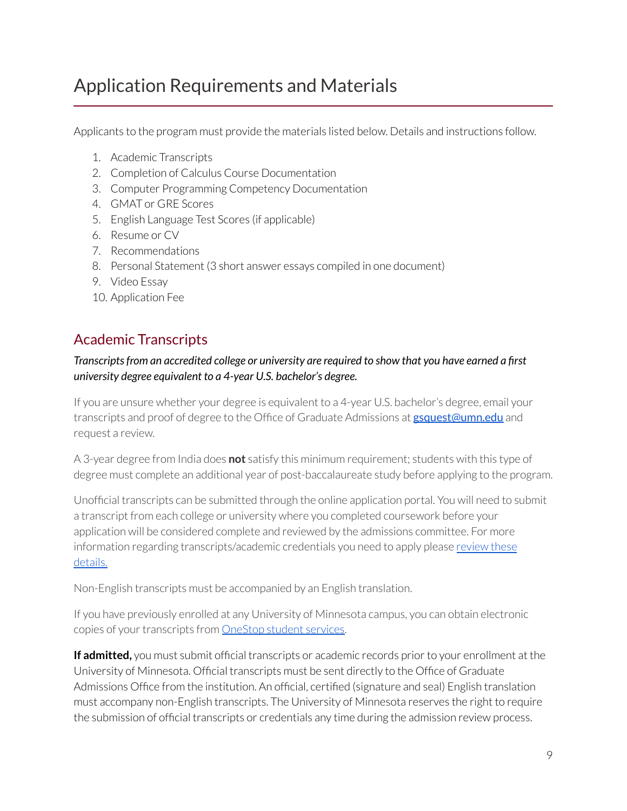## <span id="page-8-0"></span>Application Requirements and Materials

Applicants to the program must provide the materials listed below. Details and instructions follow.

- 1. Academic Transcripts
- 2. Completion of Calculus Course Documentation
- 3. Computer Programming Competency Documentation
- 4. GMAT or GRE Scores
- 5. English Language Test Scores (if applicable)
- 6. Resume or CV
- 7. Recommendations
- 8. Personal Statement (3 short answer essays compiled in one document)
- 9. Video Essay
- 10. Application Fee

### <span id="page-8-1"></span>Academic Transcripts

#### *Transcripts from an accredited college or university are required to show that you have earned a first university degree equivalent to a 4-year U.S. bachelor's degree.*

If you are unsure whether your degree is equivalent to a 4-year U.S. bachelor's degree, email your transcripts and proof of degree to the Office of Graduate Admissions at **[gsquest@umn.edu](mailto:gsquest@umn.edu)** and request a review.

A 3-year degree from India does **not** satisfy this minimum requirement; students with this type of degree must complete an additional year of post-baccalaureate study before applying to the program.

Unofficial transcripts can be submitted through the online application portal. You will need to submit a transcript from each college or university where you completed coursework before your application will be considered complete and reviewed by the admissions committee. For more information regarding transcripts/academic credentials you need to apply please [review these](https://grad.umn.edu/admissions/application-instructions/transcripts-credentials) [details.](https://grad.umn.edu/admissions/application-instructions/transcripts-credentials)

Non-English transcripts must be accompanied by an English translation.

If you have previously enrolled at any University of Minnesota campus, you can obtain electronic copies of your transcripts from [OneStop student services.](http://onestop.umn.edu/grades_and_transcripts/unofficial_transcripts.html)

**If admitted,** you must submit official transcripts or academic records prior to your enrollment at the University of Minnesota. Official transcripts must be sent directly to the Office of Graduate Admissions Office from the institution. An official, certified (signature and seal) English translation must accompany non-English transcripts. The University of Minnesota reserves the right to require the submission of official transcripts or credentials any time during the admission review process.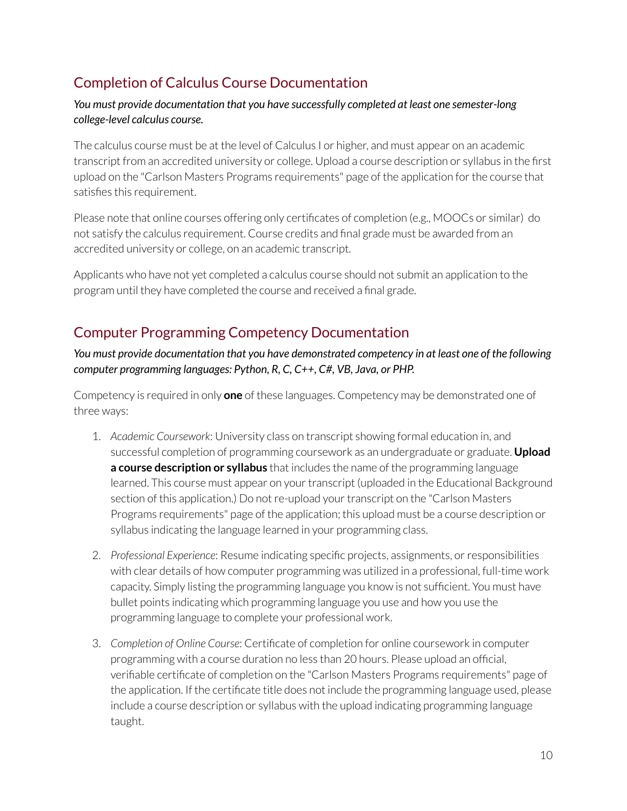### <span id="page-9-0"></span>Completion of Calculus Course Documentation

#### *You must provide documentation that you have successfully completed at least one semester-long college-level calculus course.*

The calculus course must be at the level of Calculus I or higher, and must appear on an academic transcript from an accredited university or college. Upload a course description or syllabus in the first upload on the "Carlson Masters Programs requirements" page of the application for the course that satisfies this requirement.

Please note that online courses offering only certificates of completion (e.g., MOOCs or similar) do not satisfy the calculus requirement. Course credits and final grade must be awarded from an accredited university or college, on an academic transcript.

Applicants who have not yet completed a calculus course should not submit an application to the program until they have completed the course and received a final grade.

### <span id="page-9-1"></span>Computer Programming Competency Documentation

#### *You must provide documentation that you have demonstrated competency in at least one of the following computer programming languages: Python, R, C, C++, C#, VB, Java, or PHP.*

Competency is required in only **one** of these languages. Competency may be demonstrated one of three ways:

- 1. *Academic Coursework*: University class on transcript showing formal education in, and successful completion of programming coursework as an undergraduate or graduate. **Upload a course description or syllabus** that includes the name of the programming language learned. This course must appear on your transcript (uploaded in the Educational Background section of this application.) Do not re-upload your transcript on the "Carlson Masters Programs requirements" page of the application; this upload must be a course description or syllabus indicating the language learned in your programming class.
- 2. *Professional Experience*: Resume indicating specific projects, assignments, or responsibilities with clear details of how computer programming was utilized in a professional, full-time work capacity. Simply listing the programming language you know is not sufficient. You must have bullet points indicating which programming language you use and how you use the programming language to complete your professional work.
- 3. *Completion of Online Course*: Certificate of completion for online coursework in computer programming with a course duration no less than 20 hours. Please upload an official, verifiable certificate of completion on the "Carlson Masters Programs requirements" page of the application. If the certificate title does not include the programming language used, please include a course description or syllabus with the upload indicating programming language taught.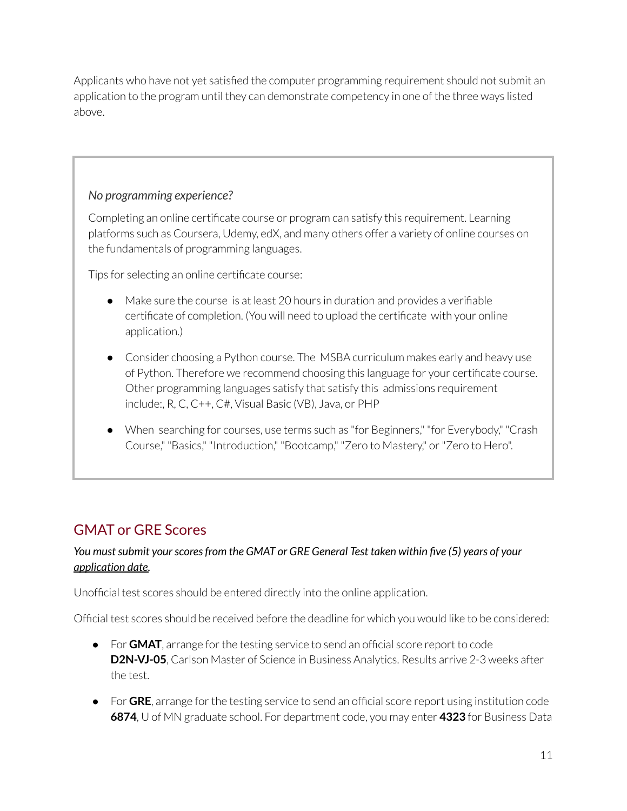Applicants who have not yet satisfied the computer programming requirement should not submit an application to the program until they can demonstrate competency in one of the three ways listed above.

### *No programming experience?*

Completing an online certificate course or program can satisfy this requirement. Learning platforms such as Coursera, Udemy, edX, and many others offer a variety of online courses on the fundamentals of programming languages.

Tips for selecting an online certificate course:

- Make sure the course is at least 20 hours in duration and provides a verifiable certificate of completion. (You will need to upload the certificate with your online application.)
- Consider choosing a Python course. The MSBA curriculum makes early and heavy use of Python. Therefore we recommend choosing this language for your certificate course. Other programming languages satisfy that satisfy this admissions requirement include:, R, C, C++, C#, Visual Basic (VB), Java, or PHP
- When searching for courses, use terms such as "for Beginners," "for Everybody," "Crash Course," "Basics," "Introduction," "Bootcamp," "Zero to Mastery," or "Zero to Hero".

### <span id="page-10-0"></span>GMAT or GRE Scores

#### *You must submit your scores from the GMAT or GRE General Test taken within five (5) years of your application date.*

Unofficial test scores should be entered directly into the online application.

Official test scores should be received before the deadline for which you would like to be considered:

- For **GMAT**, arrange for the testing service to send an official score report to code **D2N-VJ-05**, Carlson Master of Science in Business Analytics. Results arrive 2-3 weeks after the test.
- For GRE, arrange for the testing service to send an official score report using institution code **6874**, U of MN graduate school. For department code, you may enter **4323** for Business Data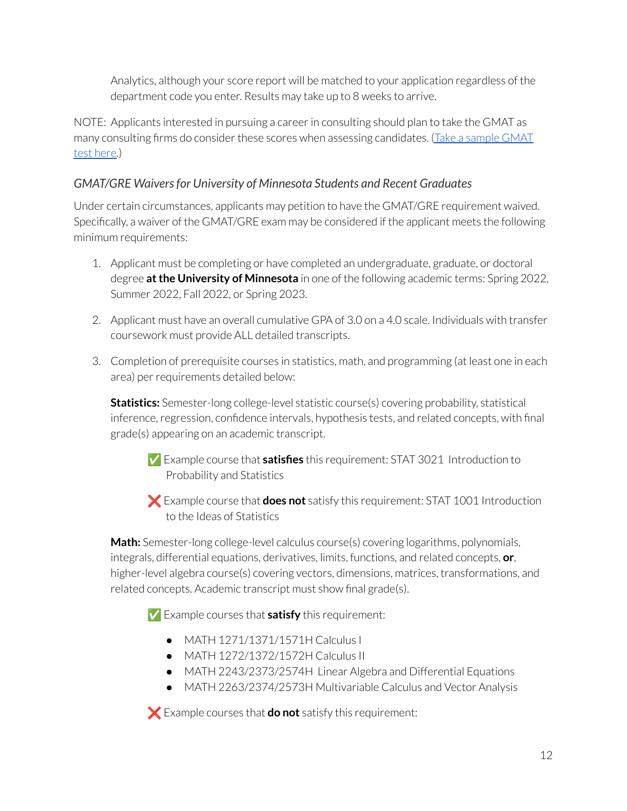Analytics, although your score report will be matched to your application regardless of the department code you enter. Results may take up to 8 weeks to arrive.

NOTE: Applicants interested in pursuing a career in consulting should plan to take the GMAT as many consulting firms do consider these scores when assessing candidates. [\(Take a sample GMAT](https://carlsonschool.umn.edu/node/81661) [test here.](https://carlsonschool.umn.edu/node/81661))

### *GMAT/GRE Waivers for University of Minnesota Students and Recent Graduates*

Under certain circumstances, applicants may petition to have the GMAT/GRE requirement waived. Specifically, a waiver of the GMAT/GRE exam may be considered if the applicant meets the following minimum requirements:

- 1. Applicant must be completing or have completed an undergraduate, graduate, or doctoral degree **at the University of Minnesota** in one of the following academic terms: Spring 2022, Summer 2022, Fall 2022, or Spring 2023.
- 2. Applicant must have an overall cumulative GPA of 3.0 on a 4.0 scale. Individuals with transfer coursework must provide ALL detailed transcripts.
- 3. Completion of prerequisite courses in statistics, math, and programming (at least one in each area) per requirements detailed below:

**Statistics:** Semester-long college-level statistic course(s) covering probability, statistical inference, regression, confidence intervals, hypothesis tests, and related concepts, with final grade(s) appearing on an academic transcript.

✅ Example course that **satisfies** this requirement: STAT 3021 Introduction to Probability and Statistics

❌ Example course that **does not** satisfy this requirement: STAT 1001 Introduction to the Ideas of Statistics

**Math:** Semester-long college-level calculus course(s) covering logarithms, polynomials, integrals, differential equations, derivatives, limits, functions, and related concepts, **or**, higher-level algebra course(s) covering vectors, dimensions, matrices, transformations, and related concepts. Academic transcript must show final grade(s).

✅ Example courses that **satisfy** this requirement:

- MATH 1271/1371/1571H Calculus I
- MATH 1272/1372/1572H Calculus II
- MATH 2243/2373/2574H Linear Algebra and Differential Equations
- MATH 2263/2374/2573H Multivariable Calculus and Vector Analysis

❌ Example courses that **do not** satisfy this requirement: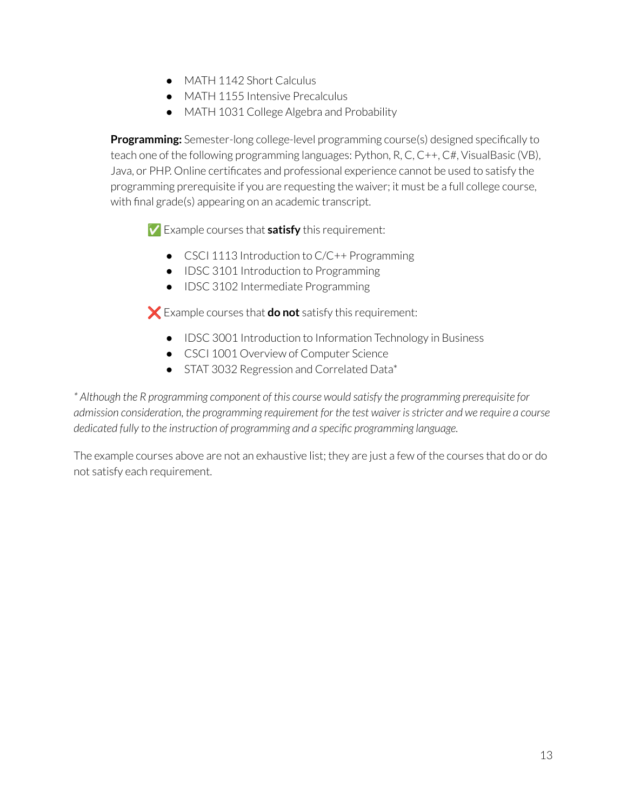- MATH 1142 Short Calculus
- MATH 1155 Intensive Precalculus
- MATH 1031 College Algebra and Probability

**Programming:** Semester-long college-level programming course(s) designed specifically to teach one of the following programming languages: Python, R, C, C++, C#, VisualBasic (VB), Java, or PHP. Online certificates and professional experience cannot be used to satisfy the programming prerequisite if you are requesting the waiver; it must be a full college course, with final grade(s) appearing on an academic transcript.

✅ Example courses that **satisfy** this requirement:

- CSCI 1113 Introduction to C/C++ Programming
- IDSC 3101 Introduction to Programming
- IDSC 3102 Intermediate Programming

❌ Example courses that **do not** satisfy this requirement:

- IDSC 3001 Introduction to Information Technology in Business
- CSCI 1001 Overview of Computer Science
- STAT 3032 Regression and Correlated Data\*

*\* Although the R programming component of this course would satisfy the programming prerequisite for admission consideration, the programming requirement for the test waiver is stricter and we require a course dedicated fully to the instruction of programming and a specific programming language.*

The example courses above are not an exhaustive list; they are just a few of the courses that do or do not satisfy each requirement.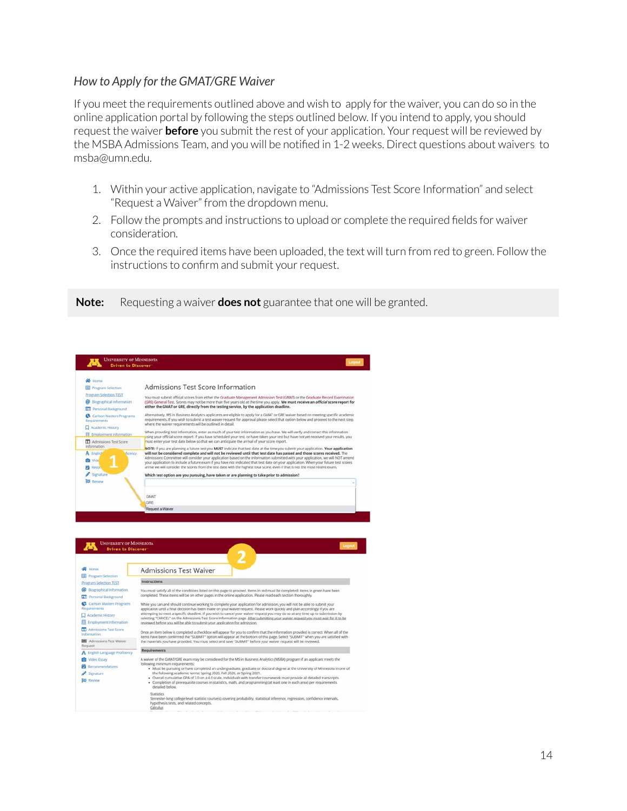#### *How to Apply for the GMAT/GRE Waiver*

If you meet the requirements outlined above and wish to apply for the waiver, you can do so in the online application portal by following the steps outlined below. If you intend to apply, you should request the waiver **before** you submit the rest of your application. Your request will be reviewed by the MSBA Admissions Team, and you will be notified in 1-2 weeks. Direct questions about waivers to msba@umn.edu.

- 1. Within your active application, navigate to "Admissions Test Score Information" and select "Request a Waiver" from the dropdown menu.
- 2. Follow the prompts and instructions to upload or complete the required fields for waiver consideration.
- 3. Once the required items have been uploaded, the text will turn from red to green. Follow the instructions to confirm and submit your request.

#### **Note:** Requesting a waiver **does not** guarantee that one will be granted.

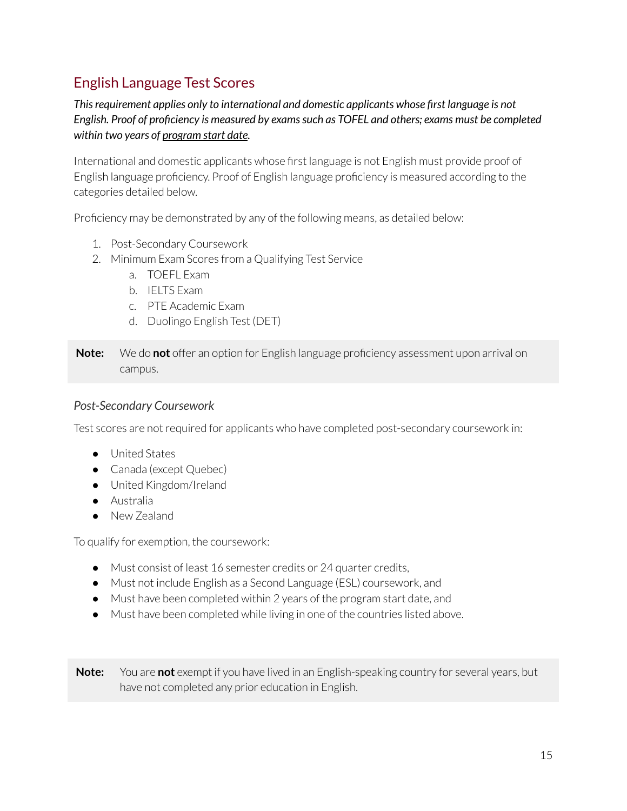### English Language Test Scores

*This requirement applies only to international and domestic applicants whose first language is not English. Proof of proficiency is measured by exams such as TOFEL and others; exams must be completed within two years of program start date.*

International and domestic applicants whose first language is not English must provide proof of English language proficiency. Proof of English language proficiency is measured according to the categories detailed below.

Proficiency may be demonstrated by any of the following means, as detailed below:

- 1. Post-Secondary Coursework
- 2. Minimum Exam Scores from a Qualifying Test Service
	- a. TOEFL Exam
	- b. IELTS Exam
	- c. PTE Academic Exam
	- d. Duolingo English Test (DET)

**Note:** We do **not** offer an option for English language proficiency assessment upon arrival on campus.

#### *Post-Secondary Coursework*

Test scores are not required for applicants who have completed post-secondary coursework in:

- United States
- Canada (except Quebec)
- United Kingdom/Ireland
- Australia
- New Zealand

To qualify for exemption, the coursework:

- Must consist of least 16 semester credits or 24 quarter credits,
- Must not include English as a Second Language (ESL) coursework, and
- Must have been completed within 2 years of the program start date, and
- Must have been completed while living in one of the countries listed above.

**Note:** You are **not** exempt if you have lived in an English-speaking country for several years, but have not completed any prior education in English.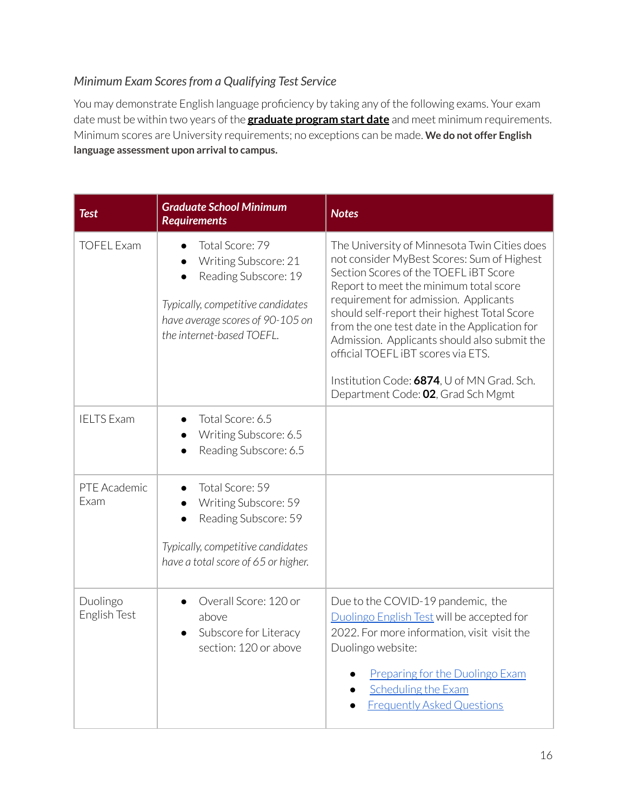### *Minimum Exam Scores from a Qualifying Test Service*

You may demonstrate English language proficiency by taking any of the following exams. Your exam date must be within two years of the **graduate program start date** and meet minimum requirements. Minimum scores are University requirements; no exceptions can be made. **We do not offer English language assessment upon arrival to campus.**

| <b>Test</b>              | <b>Graduate School Minimum</b><br><b>Requirements</b>                                                                                                                 | <b>Notes</b>                                                                                                                                                                                                                                                                                                                                                                                                                                                                                      |
|--------------------------|-----------------------------------------------------------------------------------------------------------------------------------------------------------------------|---------------------------------------------------------------------------------------------------------------------------------------------------------------------------------------------------------------------------------------------------------------------------------------------------------------------------------------------------------------------------------------------------------------------------------------------------------------------------------------------------|
| <b>TOFEL Exam</b>        | Total Score: 79<br>Writing Subscore: 21<br>Reading Subscore: 19<br>Typically, competitive candidates<br>have average scores of 90-105 on<br>the internet-based TOEFL. | The University of Minnesota Twin Cities does<br>not consider MyBest Scores: Sum of Highest<br>Section Scores of the TOEFL iBT Score<br>Report to meet the minimum total score<br>requirement for admission. Applicants<br>should self-report their highest Total Score<br>from the one test date in the Application for<br>Admission. Applicants should also submit the<br>official TOEFL IBT scores via ETS.<br>Institution Code: 6874, U of MN Grad. Sch.<br>Department Code: 02, Grad Sch Mgmt |
| <b>IELTS Exam</b>        | Total Score: 6.5<br>Writing Subscore: 6.5<br>$\bullet$<br>Reading Subscore: 6.5                                                                                       |                                                                                                                                                                                                                                                                                                                                                                                                                                                                                                   |
| PTF Academic<br>Exam     | Total Score: 59<br>Writing Subscore: 59<br>Reading Subscore: 59<br>Typically, competitive candidates<br>have a total score of 65 or higher.                           |                                                                                                                                                                                                                                                                                                                                                                                                                                                                                                   |
| Duolingo<br>English Test | Overall Score: 120 or<br>above<br>Subscore for Literacy<br>section: 120 or above                                                                                      | Due to the COVID-19 pandemic, the<br>Duolingo English Test will be accepted for<br>2022. For more information, visit visit the<br>Duolingo website:<br><b>Preparing for the Duolingo Exam</b><br>Scheduling the Exam<br><b>Frequently Asked Questions</b>                                                                                                                                                                                                                                         |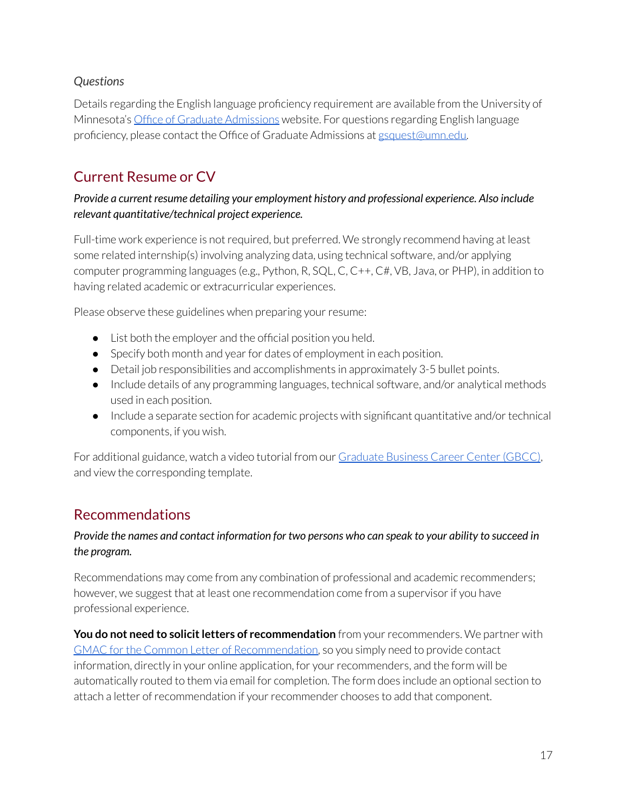### *Questions*

Details regarding the English language proficiency requirement are available from the University of Minnesota's [Office of Graduate Admissions](https://grad.umn.edu/admissions/application-instructions/international-student-resources/english-language-proficiency) website. For questions regarding English language proficiency, please contact the Office of Graduate Admissions at [gsquest@umn.edu.](mailto:gsquest@umn.edu)

### <span id="page-16-0"></span>Current Resume or CV

#### *Provide a current resume detailing your employment history and professional experience. Also include relevant quantitative/technical project experience.*

Full-time work experience is not required, but preferred. We strongly recommend having at least some related internship(s) involving analyzing data, using technical software, and/or applying computer programming languages (e.g., Python, R, SQL, C, C++, C#, VB, Java, or PHP), in addition to having related academic or extracurricular experiences.

Please observe these guidelines when preparing your resume:

- List both the employer and the official position you held.
- Specify both month and year for dates of employment in each position.
- Detail job responsibilities and accomplishments in approximately 3-5 bullet points.
- Include details of any programming languages, technical software, and/or analytical methods used in each position.
- Include a separate section for academic projects with significant quantitative and/or technical components, if you wish.

For additional guidance, watch a video tutorial from our [Graduate Business Career Center \(GBCC\)](https://sites.google.com/umn.edu/gbcc/students/resumes), and view the corresponding template.

### <span id="page-16-1"></span>Recommendations

#### *Provide the names and contact information for two persons who can speak to your ability to succeed in the program.*

Recommendations may come from any combination of professional and academic recommenders; however, we suggest that at least one recommendation come from a supervisor if you have professional experience.

**You do not need to solicit letters of recommendation** from your recommenders. We partner with [GMAC for the Common Letter of Recommendation,](https://www.gmac.com/reach-and-recruit-students/prepare-candidates-for-the-exam-classroom/common-letter-of-recommendation-lor) so you simply need to provide contact information, directly in your online application, for your recommenders, and the form will be automatically routed to them via email for completion. The form does include an optional section to attach a letter of recommendation if your recommender chooses to add that component.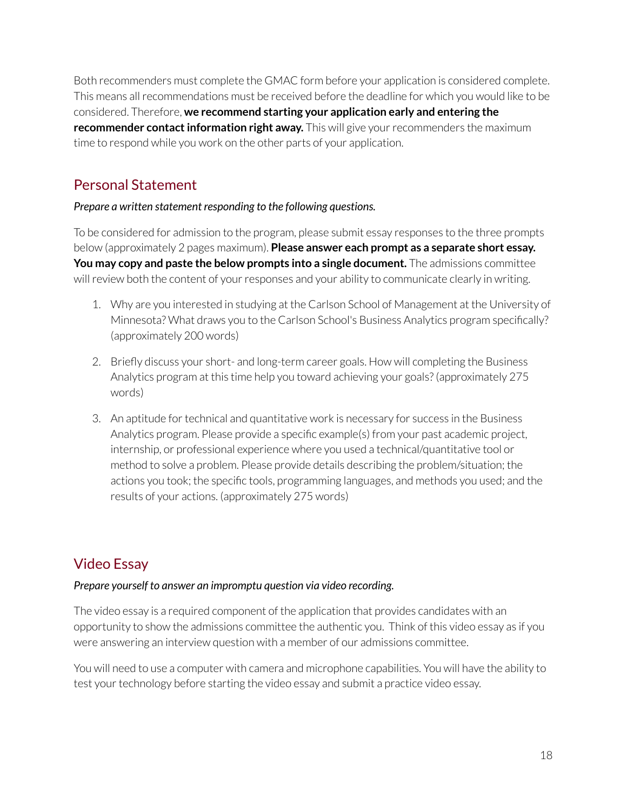Both recommenders must complete the GMAC form before your application is considered complete. This means all recommendations must be received before the deadline for which you would like to be considered. Therefore, **we recommend starting your application early and entering the recommender contact information right away.** This will give your recommenders the maximum time to respond while you work on the other parts of your application.

### <span id="page-17-0"></span>Personal Statement

#### *Prepare a written statement responding to the following questions.*

To be considered for admission to the program, please submit essay responses to the three prompts below (approximately 2 pages maximum). **Please answer each prompt as a separate short essay. You may copy and paste the below prompts into a single document.** The admissions committee will review both the content of your responses and your ability to communicate clearly in writing.

- 1. Why are you interested in studying at the Carlson School of Management at the University of Minnesota? What draws you to the Carlson School's Business Analytics program specifically? (approximately 200 words)
- 2. Briefly discuss your short- and long-term career goals. How will completing the Business Analytics program at this time help you toward achieving your goals? (approximately 275 words)
- 3. An aptitude for technical and quantitative work is necessary for success in the Business Analytics program. Please provide a specific example(s) from your past academic project, internship, or professional experience where you used a technical/quantitative tool or method to solve a problem. Please provide details describing the problem/situation; the actions you took; the specific tools, programming languages, and methods you used; and the results of your actions. (approximately 275 words)

### <span id="page-17-1"></span>Video Essay

#### *Prepare yourself to answer an impromptu question via video recording.*

The video essay is a required component of the application that provides candidates with an opportunity to show the admissions committee the authentic you. Think of this video essay as if you were answering an interview question with a member of our admissions committee.

You will need to use a computer with camera and microphone capabilities. You will have the ability to test your technology before starting the video essay and submit a practice video essay.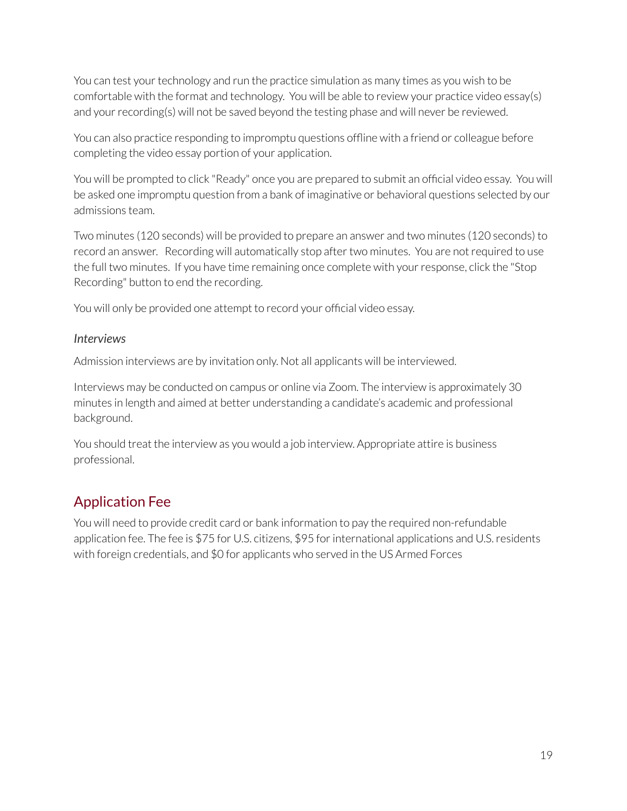You can test your technology and run the practice simulation as many times as you wish to be comfortable with the format and technology. You will be able to review your practice video essay(s) and your recording(s) will not be saved beyond the testing phase and will never be reviewed.

You can also practice responding to impromptu questions offline with a friend or colleague before completing the video essay portion of your application.

You will be prompted to click "Ready" once you are prepared to submit an official video essay. You will be asked one impromptu question from a bank of imaginative or behavioral questions selected by our admissions team.

Two minutes (120 seconds) will be provided to prepare an answer and two minutes (120 seconds) to record an answer. Recording will automatically stop after two minutes. You are not required to use the full two minutes. If you have time remaining once complete with your response, click the "Stop Recording" button to end the recording.

You will only be provided one attempt to record your official video essay.

#### *Interviews*

Admission interviews are by invitation only. Not all applicants will be interviewed.

Interviews may be conducted on campus or online via Zoom. The interview is approximately 30 minutes in length and aimed at better understanding a candidate's academic and professional background.

You should treat the interview as you would a job interview. Appropriate attire is business professional.

### <span id="page-18-0"></span>Application Fee

You will need to provide credit card or bank information to pay the required non-refundable application fee. The fee is \$75 for U.S. citizens, \$95 for international applications and U.S. residents with foreign credentials, and \$0 for applicants who served in the US Armed Forces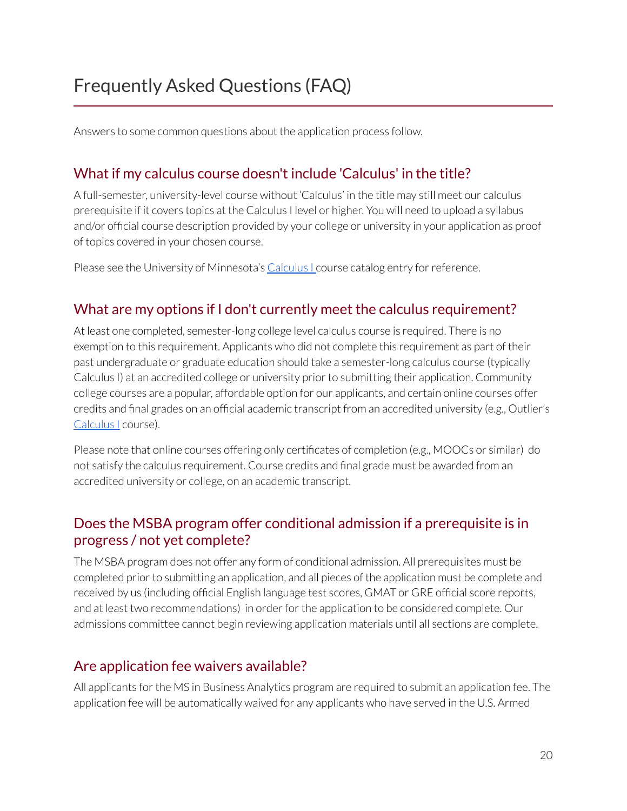<span id="page-19-0"></span>Answers to some common questions about the application process follow.

### What if my calculus course doesn't include 'Calculus' in the title?

A full-semester, university-level course without 'Calculus' in the title may still meet our calculus prerequisite if it covers topics at the Calculus I level or higher. You will need to upload a syllabus and/or official course description provided by your college or university in your application as proof of topics covered in your chosen course.

Please see the University of Minnesota's Calculus Leourse catalog entry for reference.

### What are my options if I don't currently meet the calculus requirement?

At least one completed, semester-long college level calculus course is required. There is no exemption to this requirement. Applicants who did not complete this requirement as part of their past undergraduate or graduate education should take a semester-long calculus course (typically Calculus I) at an accredited college or university prior to submitting their application. Community college courses are a popular, affordable option for our applicants, and certain online courses offer credits and final grades on an official academic transcript from an accredited university (e.g., Outlier's [Calculus I](https://www.outlier.org/products/calculus-i) course).

Please note that online courses offering only certificates of completion (e.g., MOOCs or similar) do not satisfy the calculus requirement. Course credits and final grade must be awarded from an accredited university or college, on an academic transcript.

### Does the MSBA program offer conditional admission if a prerequisite is in progress / not yet complete?

The MSBA program does not offer any form of conditional admission. All prerequisites must be completed prior to submitting an application, and all pieces of the application must be complete and received by us (including official English language test scores, GMAT or GRE official score reports, and at least two recommendations) in order for the application to be considered complete. Our admissions committee cannot begin reviewing application materials until all sections are complete.

### Are application fee waivers available?

All applicants for the MS in Business Analytics program are required to submit an application fee. The application fee will be automatically waived for any applicants who have served in the U.S. Armed